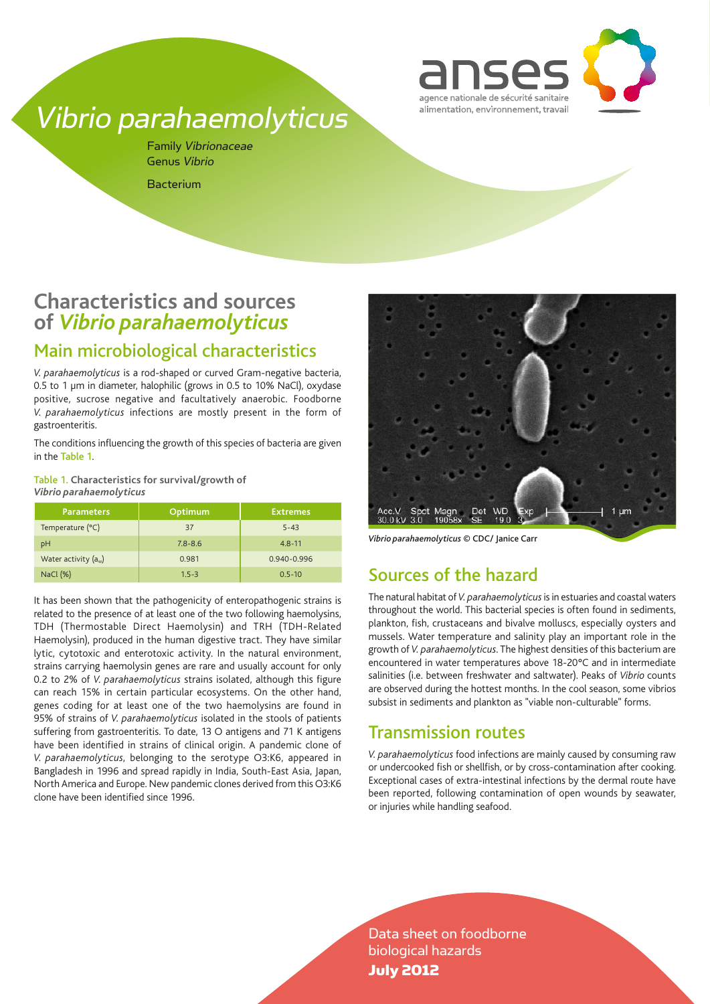

# Vibrio parahaemolyticus

Family Vibrionaceae Genus Vibrio Bacterium

## **Characteristics and sources of** *Vibrio parahaemolyticus*

## Main microbiological characteristics

*V. parahaemolyticus* is a rod-shaped or curved Gram-negative bacteria, 0.5 to 1 µm in diameter, halophilic (grows in 0.5 to 10% NaCl), oxydase positive, sucrose negative and facultatively anaerobic. Foodborne *V. parahaemolyticus* infections are mostly present in the form of gastroenteritis.

The conditions influencing the growth of this species of bacteria are given in the Table 1.

Table 1. **Characteristics for survival/growth of**  *Vibrio parahaemolyticus*

| <b>Parameters</b>      | Optimum     | <b>Extremes</b> |
|------------------------|-------------|-----------------|
| Temperature (°C)       | 37          | $5 - 43$        |
| pH                     | $7.8 - 8.6$ | $4.8 - 11$      |
| Water activity $(a_w)$ | 0.981       | 0.940-0.996     |
| NaCl (%)               | $1.5 - 3$   | $0.5 - 10$      |

It has been shown that the pathogenicity of enteropathogenic strains is related to the presence of at least one of the two following haemolysins, TDH (Thermostable Direct Haemolysin) and TRH (TDH-Related Haemolysin), produced in the human digestive tract. They have similar lytic, cytotoxic and enterotoxic activity. In the natural environment, strains carrying haemolysin genes are rare and usually account for only 0.2 to 2% of *V. parahaemolyticus* strains isolated, although this figure can reach 15% in certain particular ecosystems. On the other hand, genes coding for at least one of the two haemolysins are found in 95% of strains of *V. parahaemolyticus* isolated in the stools of patients suffering from gastroenteritis. To date, 13 O antigens and 71 K antigens have been identified in strains of clinical origin. A pandemic clone of *V. parahaemolyticus*, belonging to the serotype O3:K6, appeared in Bangladesh in 1996 and spread rapidly in India, South-East Asia, Japan, North America and Europe. New pandemic clones derived from this O3:K6 clone have been identified since 1996.



*Vibrio parahaemolyticus* © CDC/ Janice Carr

### Sources of the hazard

The natural habitat of *V. parahaemolyticus* is in estuaries and coastal waters throughout the world. This bacterial species is often found in sediments, plankton, fish, crustaceans and bivalve molluscs, especially oysters and mussels. Water temperature and salinity play an important role in the growth of *V. parahaemolyticus*. The highest densities of this bacterium are encountered in water temperatures above 18-20°C and in intermediate salinities (i.e. between freshwater and saltwater). Peaks of *Vibrio* counts are observed during the hottest months. In the cool season, some vibrios subsist in sediments and plankton as "viable non-culturable" forms.

### Transmission routes

*V. parahaemolyticus* food infections are mainly caused by consuming raw or undercooked fish or shellfish, or by cross-contamination after cooking. Exceptional cases of extra-intestinal infections by the dermal route have been reported, following contamination of open wounds by seawater, or injuries while handling seafood.

Data sheet on foodborne biological hazards July 2012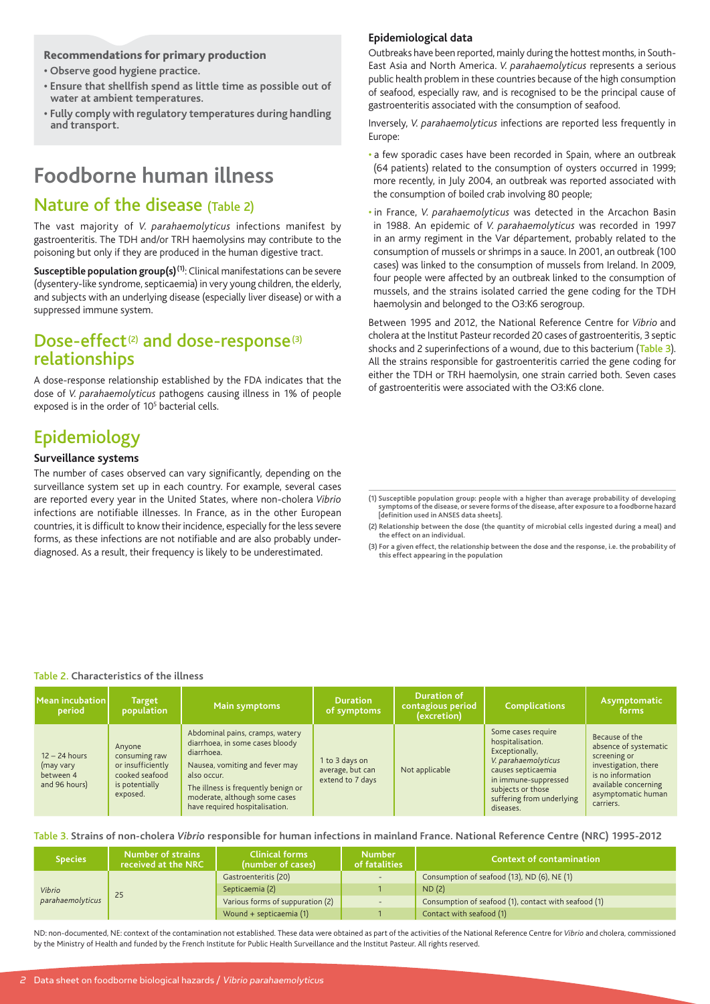#### Recommendations for primary production

- **Observe good hygiene practice.**
- **Ensure that shellfish spend as little time as possible out of water at ambient temperatures.**
- **Fully comply with regulatory temperatures during handling and transport.**

## **Foodborne human illness**

### Nature of the disease (Table 2)

The vast majority of *V. parahaemolyticus* infections manifest by gastroenteritis. The TDH and/or TRH haemolysins may contribute to the poisoning but only if they are produced in the human digestive tract.

**Susceptible population group(s)<sup>(1)</sup>:** Clinical manifestations can be severe (dysentery-like syndrome, septicaemia) in very young children, the elderly, and subjects with an underlying disease (especially liver disease) or with a suppressed immune system.

### Dose-effect<sup>(2)</sup> and dose-response<sup>(3)</sup> relationships

A dose-response relationship established by the FDA indicates that the dose of *V. parahaemolyticus* pathogens causing illness in 1% of people exposed is in the order of 10<sup>5</sup> bacterial cells.

## Epidemiology

#### **Surveillance systems**

The number of cases observed can vary significantly, depending on the surveillance system set up in each country. For example, several cases are reported every year in the United States, where non-cholera *Vibrio*  infections are notifiable illnesses. In France, as in the other European countries, it is difficult to know their incidence, especially for the less severe forms, as these infections are not notifiable and are also probably underdiagnosed. As a result, their frequency is likely to be underestimated.

#### **Epidemiological data**

Outbreaks have been reported, mainly during the hottest months, in South-East Asia and North America. *V. parahaemolyticus* represents a serious public health problem in these countries because of the high consumption of seafood, especially raw, and is recognised to be the principal cause of gastroenteritis associated with the consumption of seafood.

Inversely, *V. parahaemolyticus* infections are reported less frequently in Europe:

- a few sporadic cases have been recorded in Spain, where an outbreak (64 patients) related to the consumption of oysters occurred in 1999; more recently, in July 2004, an outbreak was reported associated with the consumption of boiled crab involving 80 people;
- in France, *V. parahaemolyticus* was detected in the Arcachon Basin in 1988. An epidemic of *V. parahaemolyticus* was recorded in 1997 in an army regiment in the Var département, probably related to the consumption of mussels or shrimps in a sauce. In 2001, an outbreak (100 cases) was linked to the consumption of mussels from Ireland. In 2009, four people were affected by an outbreak linked to the consumption of mussels, and the strains isolated carried the gene coding for the TDH haemolysin and belonged to the O3:K6 serogroup.

Between 1995 and 2012, the National Reference Centre for *Vibrio* and cholera at the Institut Pasteur recorded 20 cases of gastroenteritis, 3 septic shocks and 2 superinfections of a wound, due to this bacterium (Table 3). All the strains responsible for gastroenteritis carried the gene coding for either the TDH or TRH haemolysin, one strain carried both. Seven cases of gastroenteritis were associated with the O3:K6 clone.

**(2) Relationship between the dose (the quantity of microbial cells ingested during a meal) and the effect on an individual.**

**(3) For a given effect, the relationship between the dose and the response, i.e. the probability of this effect appearing in the population**

#### Table 2. **Characteristics of the illness**

| $\sf M$ ean incubation $\sf I$<br>period                   | <b>Target</b><br>population                                                                  | Main symptoms                                                                                                                                                                                                                               | <b>Duration</b><br>of symptoms                         | <b>Duration of</b><br>contagious period<br>(excretion) | <b>Complications</b>                                                                                                                                                                         | Asymptomatic<br>forms                                                                                                                                           |
|------------------------------------------------------------|----------------------------------------------------------------------------------------------|---------------------------------------------------------------------------------------------------------------------------------------------------------------------------------------------------------------------------------------------|--------------------------------------------------------|--------------------------------------------------------|----------------------------------------------------------------------------------------------------------------------------------------------------------------------------------------------|-----------------------------------------------------------------------------------------------------------------------------------------------------------------|
| $12 - 24$ hours<br>(may vary<br>between 4<br>and 96 hours) | Anyone<br>consuming raw<br>or insufficiently<br>cooked seafood<br>is potentially<br>exposed. | Abdominal pains, cramps, watery<br>diarrhoea, in some cases bloody<br>diarrhoea.<br>Nausea, vomiting and fever may<br>also occur.<br>The illness is frequently benign or<br>moderate, although some cases<br>have required hospitalisation. | 1 to 3 days on<br>average, but can<br>extend to 7 days | Not applicable                                         | Some cases require<br>hospitalisation.<br>Exceptionally,<br>V. parahaemolyticus<br>causes septicaemia<br>in immune-suppressed<br>subjects or those<br>suffering from underlying<br>diseases. | Because of the<br>absence of systematic<br>screening or<br>investigation, there<br>is no information<br>available concerning<br>asymptomatic human<br>carriers. |

#### Table 3. **Strains of non-cholera** *Vibrio* **responsible for human infections in mainland France. National Reference Centre (NRC) 1995-2012**

| <b>Species</b>             | <b>Number of strains</b><br>received at the NRC | <b>Clinical forms</b><br>(number of cases) | <b>Number</b><br>of fatalities                       | <b>Context of contamination</b> |
|----------------------------|-------------------------------------------------|--------------------------------------------|------------------------------------------------------|---------------------------------|
| Vibrio<br>parahaemolyticus | Gastroenteritis (20)                            | $\overline{\phantom{0}}$                   | Consumption of seafood (13), ND (6), NE (1)          |                                 |
|                            | Septicaemia (2)                                 |                                            | ND(2)                                                |                                 |
|                            | Various forms of suppuration (2)                |                                            | Consumption of seafood (1), contact with seafood (1) |                                 |
|                            |                                                 | Wound + septicaemia (1)                    |                                                      | Contact with seafood (1)        |

ND: non-documented, NE: context of the contamination not established. These data were obtained as part of the activities of the National Reference Centre for *Vibrio* and cholera, commissioned by the Ministry of Health and funded by the French Institute for Public Health Surveillance and the Institut Pasteur. All rights reserved.

**<sup>(1)</sup> Susceptible population group: people with a higher than average probability of developing symptoms of the disease, or severe forms of the disease, after exposure to a foodborne hazard [definition used in ANSES data sheets].**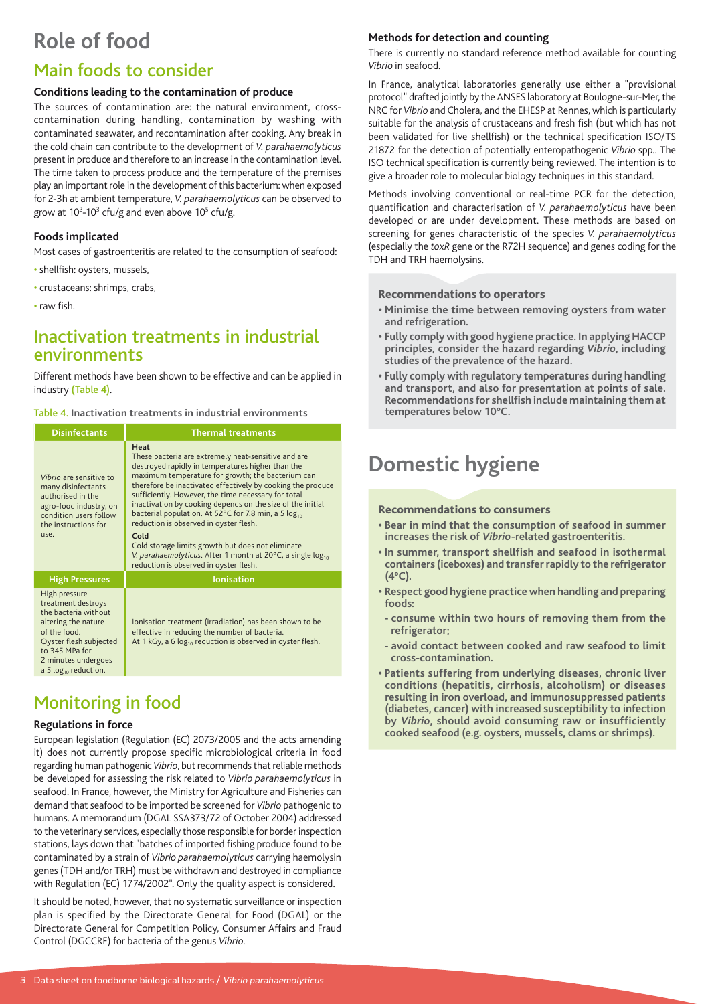# **Role of food**

## Main foods to consider

#### **Conditions leading to the contamination of produce**

The sources of contamination are: the natural environment, crosscontamination during handling, contamination by washing with contaminated seawater, and recontamination after cooking. Any break in the cold chain can contribute to the development of *V. parahaemolyticus* present in produce and therefore to an increase in the contamination level. The time taken to process produce and the temperature of the premises play an important role in the development of this bacterium: when exposed for 2-3h at ambient temperature, *V. parahaemolyticus* can be observed to grow at 10<sup>2</sup>-10<sup>3</sup> cfu/g and even above 10<sup>5</sup> cfu/g.

#### **Foods implicated**

Most cases of gastroenteritis are related to the consumption of seafood:

- shellfish: oysters, mussels,
- crustaceans: shrimps, crabs,

• raw fish.

### Inactivation treatments in industrial environments

Different methods have been shown to be effective and can be applied in industry (Table 4).

#### Table 4. **Inactivation treatments in industrial environments**

| <b>Disinfectants</b>                                                                                                                                                                               | <b>Thermal treatments</b>                                                                                                                                                                                                                                                                                                                                                                                                                                                                                                                                                                                                                                |  |  |
|----------------------------------------------------------------------------------------------------------------------------------------------------------------------------------------------------|----------------------------------------------------------------------------------------------------------------------------------------------------------------------------------------------------------------------------------------------------------------------------------------------------------------------------------------------------------------------------------------------------------------------------------------------------------------------------------------------------------------------------------------------------------------------------------------------------------------------------------------------------------|--|--|
| Vibrio are sensitive to<br>many disinfectants<br>authorised in the<br>agro-food industry, on<br>condition users follow<br>the instructions for<br>use.                                             | Heat<br>These bacteria are extremely heat-sensitive and are<br>destroyed rapidly in temperatures higher than the<br>maximum temperature for growth; the bacterium can<br>therefore be inactivated effectively by cooking the produce<br>sufficiently. However, the time necessary for total<br>inactivation by cooking depends on the size of the initial<br>bacterial population. At 52°C for 7.8 min, a 5 log <sub>10</sub><br>reduction is observed in oyster flesh.<br>Cold<br>Cold storage limits growth but does not eliminate<br>V. parahaemolyticus. After 1 month at 20°C, a single log <sub>10</sub><br>reduction is observed in oyster flesh. |  |  |
| <b>High Pressures</b>                                                                                                                                                                              | <b>lonisation</b>                                                                                                                                                                                                                                                                                                                                                                                                                                                                                                                                                                                                                                        |  |  |
| High pressure<br>treatment destroys<br>the bacteria without<br>altering the nature<br>of the food.<br>Oyster flesh subjected<br>to 345 MPa for<br>2 minutes undergoes<br>a 5 $log_{10}$ reduction. | Ionisation treatment (irradiation) has been shown to be<br>effective in reducing the number of bacteria.<br>At 1 kGy, a 6 log <sub>10</sub> reduction is observed in oyster flesh.                                                                                                                                                                                                                                                                                                                                                                                                                                                                       |  |  |

## Monitoring in food

#### **Regulations in force**

European legislation (Regulation (EC) 2073/2005 and the acts amending it) does not currently propose specific microbiological criteria in food regarding human pathogenic *Vibrio*, but recommends that reliable methods be developed for assessing the risk related to *Vibrio parahaemolyticus* in seafood. In France, however, the Ministry for Agriculture and Fisheries can demand that seafood to be imported be screened for *Vibrio* pathogenic to humans. A memorandum (DGAL SSA373/72 of October 2004) addressed to the veterinary services, especially those responsible for border inspection stations, lays down that "batches of imported fishing produce found to be contaminated by a strain of *Vibrio parahaemolyticus* carrying haemolysin genes (TDH and/or TRH) must be withdrawn and destroyed in compliance with Regulation (EC) 1774/2002". Only the quality aspect is considered.

It should be noted, however, that no systematic surveillance or inspection plan is specified by the Directorate General for Food (DGAL) or the Directorate General for Competition Policy, Consumer Affairs and Fraud Control (DGCCRF) for bacteria of the genus *Vibrio*.

#### **Methods for detection and counting**

There is currently no standard reference method available for counting *Vibrio* in seafood.

In France, analytical laboratories generally use either a "provisional protocol" drafted jointly by the ANSES laboratory at Boulogne-sur-Mer, the NRC for *Vibrio* and Cholera, and the EHESP at Rennes, which is particularly suitable for the analysis of crustaceans and fresh fish (but which has not been validated for live shellfish) or the technical specification ISO/TS 21872 for the detection of potentially enteropathogenic *Vibrio* spp.. The ISO technical specification is currently being reviewed. The intention is to give a broader role to molecular biology techniques in this standard.

Methods involving conventional or real-time PCR for the detection, quantification and characterisation of *V. parahaemolyticus* have been developed or are under development. These methods are based on screening for genes characteristic of the species *V. parahaemolyticus* (especially the *toxR* gene or the R72H sequence) and genes coding for the TDH and TRH haemolysins.

#### Recommendations to operators

- **Minimise the time between removing oysters from water and refrigeration.**
- **Fully comply with good hygiene practice. In applying HACCP principles, consider the hazard regarding** *Vibrio***, including studies of the prevalence of the hazard.**
- **Fully comply with regulatory temperatures during handling and transport, and also for presentation at points of sale. Recommendations for shellfish include maintaining them at temperatures below 10°C.**

# **Domestic hygiene**

#### Recommendations to consumers

- **Bear in mind that the consumption of seafood in summer increases the risk of** *Vibrio***-related gastroenteritis.**
- **In summer, transport shellfish and seafood in isothermal containers (iceboxes) and transfer rapidly to the refrigerator (4°C).**
- **Respect good hygiene practice when handling and preparing foods:**
- **- consume within two hours of removing them from the refrigerator;**
- **- avoid contact between cooked and raw seafood to limit cross-contamination.**
- **Patients suffering from underlying diseases, chronic liver conditions (hepatitis, cirrhosis, alcoholism) or diseases resulting in iron overload, and immunosuppressed patients (diabetes, cancer) with increased susceptibility to infection by** *Vibrio***, should avoid consuming raw or insufficiently cooked seafood (e.g. oysters, mussels, clams or shrimps).**